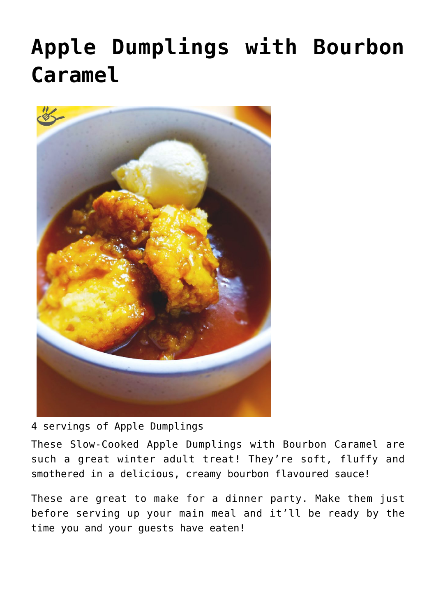## **[Apple Dumplings with Bourbon](https://effortless-kitchen.com/2020/08/03/slow-cooked-apple-dumplings-and-bourbon-caramel/) [Caramel](https://effortless-kitchen.com/2020/08/03/slow-cooked-apple-dumplings-and-bourbon-caramel/)**



4 servings of Apple Dumplings

These Slow-Cooked Apple Dumplings with Bourbon Caramel are such a great winter adult treat! They're soft, fluffy and smothered in a delicious, creamy bourbon flavoured sauce!

These are great to make for a dinner party. Make them just before serving up your main meal and it'll be ready by the time you and your guests have eaten!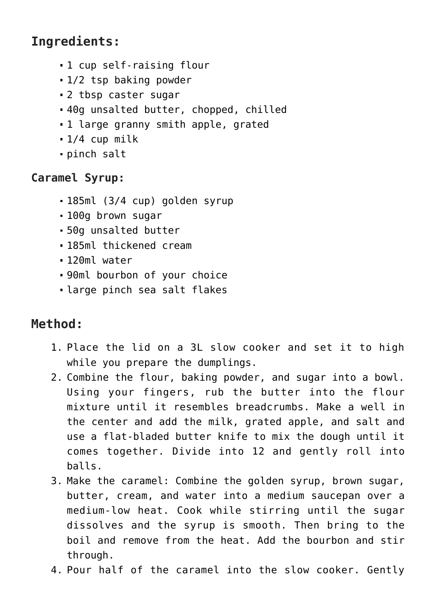## **Ingredients:**

- 1 cup self-raising flour
- 1/2 tsp baking powder
- 2 tbsp caster sugar
- 40g unsalted butter, chopped, chilled
- 1 large granny smith apple, grated
- 1/4 cup milk
- pinch salt

## **Caramel Syrup:**

- 185ml (3/4 cup) golden syrup
- 100g brown sugar
- 50g unsalted butter
- 185ml thickened cream
- 120ml water
- 90ml bourbon of your choice
- large pinch sea salt flakes

## **Method:**

- 1. Place the lid on a 3L slow cooker and set it to high while you prepare the dumplings.
- 2. Combine the flour, baking powder, and sugar into a bowl. Using your fingers, rub the butter into the flour mixture until it resembles breadcrumbs. Make a well in the center and add the milk, grated apple, and salt and use a flat-bladed butter knife to mix the dough until it comes together. Divide into 12 and gently roll into balls.
- 3. Make the caramel: Combine the golden syrup, brown sugar, butter, cream, and water into a medium saucepan over a medium-low heat. Cook while stirring until the sugar dissolves and the syrup is smooth. Then bring to the boil and remove from the heat. Add the bourbon and stir through.
- 4. Pour half of the caramel into the slow cooker. Gently